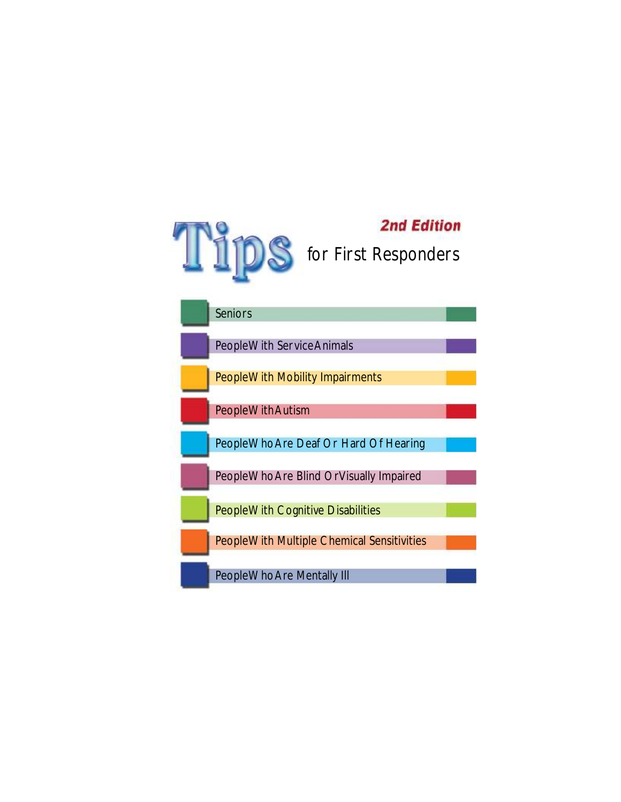

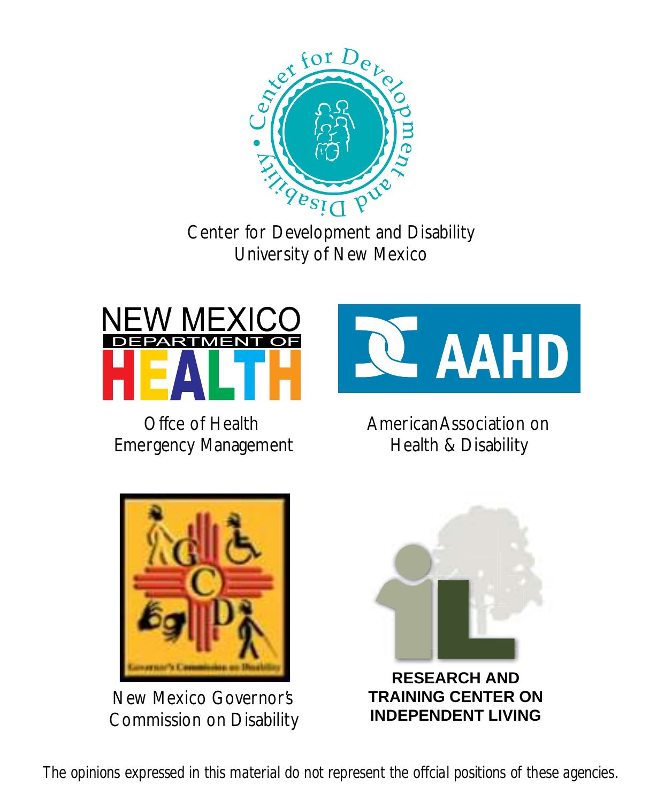

Center for Development and Disability University of New Mexico



Offce of Health Emergency Management



New Mexico Governor's Commission on Disability



American Association on Health & Disability



*The opinions expressed in this material do not represent the offcial positions of these agencies.*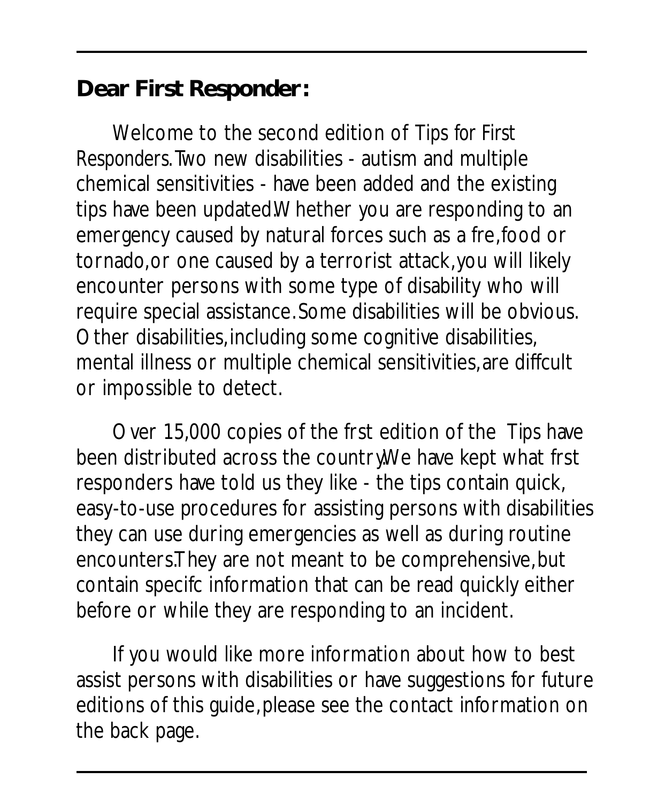**Dear First Responder:**

Welcome to the second edition of *Tips for First Responders*. Two new disabilities - autism and multiple chemical sensitivities - have been added and the existing tips have been updated.Whether you are responding to an emergency caused by natural forces such as a fre, food or tornado, or one caused by a terrorist attack, you will likely encounter persons with some type of disability who will require special assistance. Some disabilities will be obvious. Other disabilities, including some cognitive disabilities, mental illness or multiple chemical sensitivities, are diffcult or impossible to detect.

Over 15,000 copies of the frst edition of the *Tips* have been distributed across the country. We have kept what frst responders have told us they like - the tips contain quick, easy-to-use procedures for assisting persons with disabilities they can use during emergencies as well as during routine encounters.They are not meant to be comprehensive, but contain specifc information that can be read quickly either before or while they are responding to an incident.

If you would like more information about how to best assist persons with disabilities or have suggestions for future editions of this guide, please see the contact information on the back page.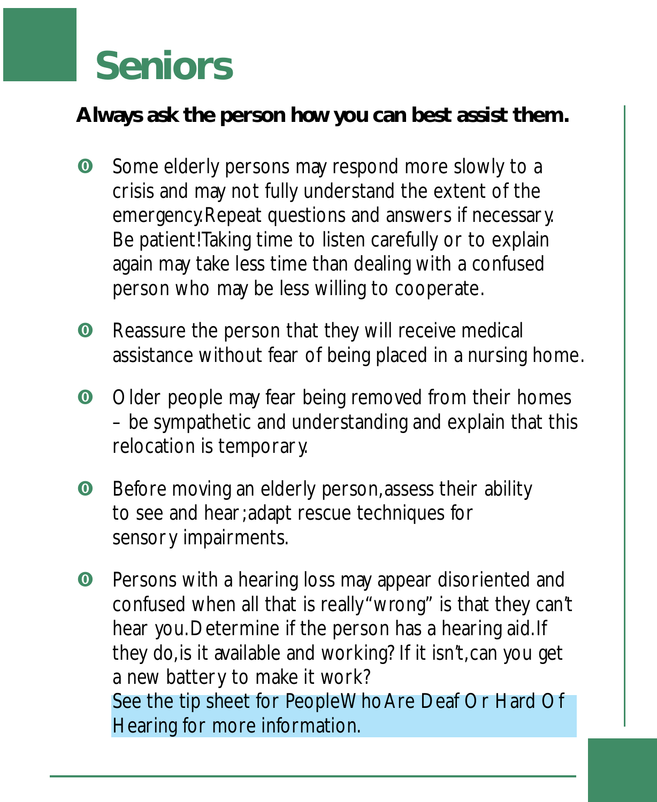### **Seniors**

**Al ways ask the person how you can best assist them.**

- **O** Some elderly persons may respond more slowly to a crisis and may not fully understand the extent of the emergency. Repeat questions and answers if necessary. Be patient! Taking time to listen carefully or to explain again may take less time than dealing with a confused person who may be less willing to cooperate.
- **O** Reassure the person that they will receive medical assistance without fear of being placed in a nursing home.
- **O** Older people may fear being removed from their homes – be sympathetic and understanding and explain that this relocation is temporary.
- **O** Before moving an elderly person, assess their ability to see and hear; adapt rescue techniques for sensory impairments.
- **O** Persons with a hearing loss may appear disoriented and confused when all that is really "wrong" is that they can't hear you. Determine if the person has a hearing aid. If they do, is it available and working? If it isn't, can you get a new battery to make it work? See the tip sheet for People Who Are Deaf Or Hard Of Hearing for more information.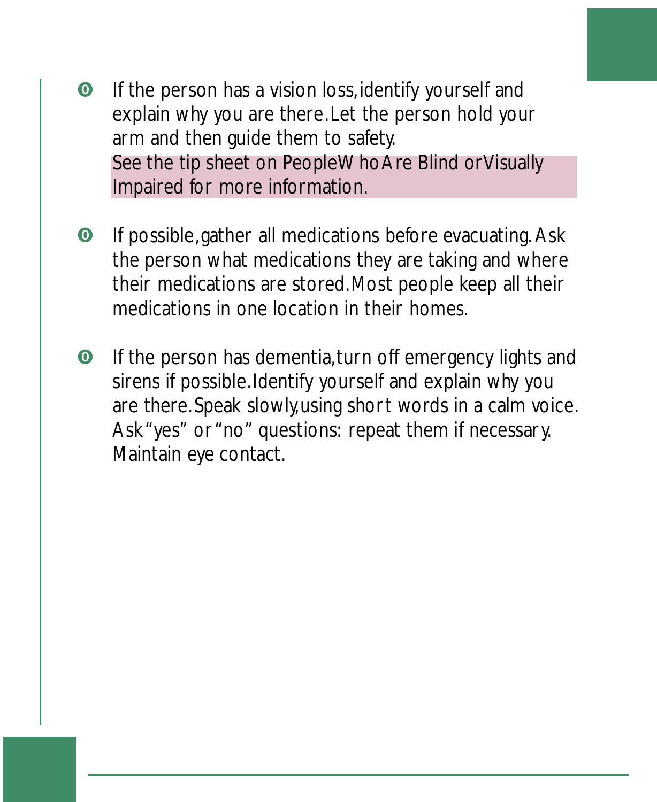- **•** If the person has a vision loss, identify yourself and explain why you are there. Let the person hold your arm and then guide them to safety. See the tip sheet on People Who Are Blind orVisually Impaired for more information.
- **O** If possible, gather all medications before evacuating. Ask the person what medications they are taking and where their medications are stored. Most people keep all their medications in one location in their homes.
- **O** If the person has dementia, turn off emergency lights and sirens if possible. Identify yourself and explain why you are there. Speak slowly, using short words in a calm voice. Ask "yes" or "no" questions: repeat them if necessary. Maintain eye contact.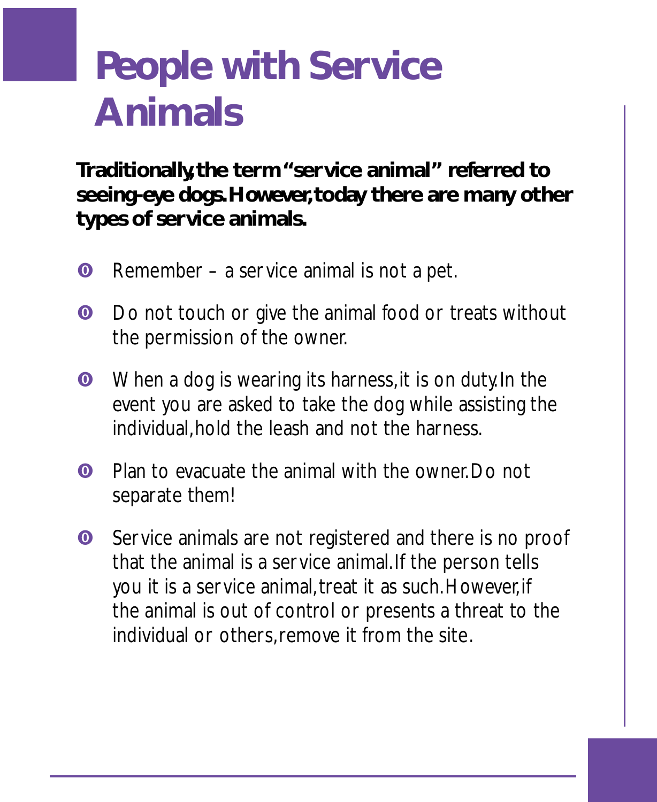### **People with Service Animals**

**Traditionally, the term "service animal" referred to seeing-eye dogs. However, today there are many other types of ser vice animals.**

- **O** Remember a service animal is not a pet.
- **O** Do not touch or give the animal food or treats without the permission of the owner.
- **O** When a dog is wearing its harness, it is on duty. In the event you are asked to take the dog while assisting the individual, hold the leash and not the harness.
- **O** Plan to evacuate the animal with the owner. Do not separate them!
- **O** Service animals are not registered and there is no proof that the animal is a service animal. If the person tells you it is a service animal, treat it as such. However, if the animal is out of control or presents a threat to the individual or others, remove it from the site.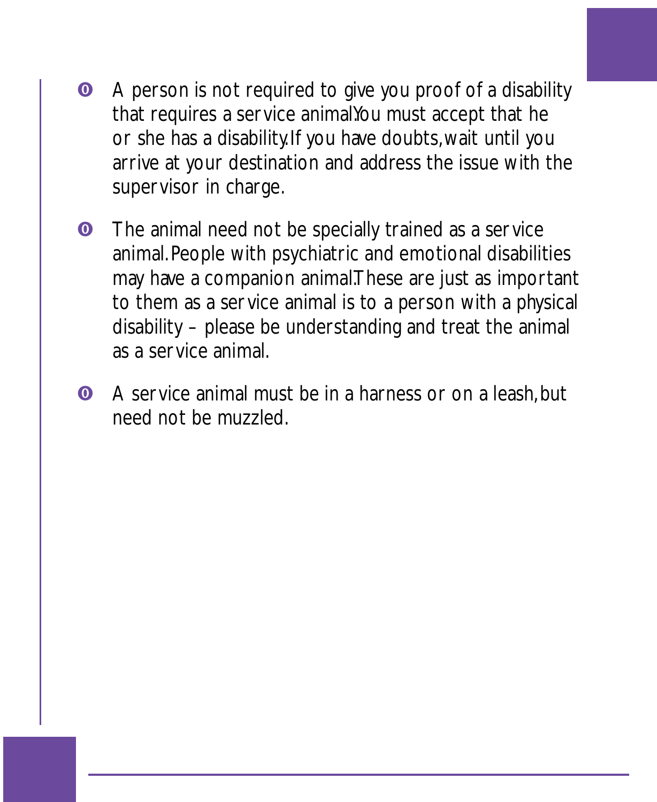- **•** A person is not required to give you proof of a disability that requires a service animalYou must accept that he or she has a disability. If you have doubts, wait until you arrive at your destination and address the issue with the supervisor in charge.
- **O** The animal need not be specially trained as a service animal. People with psychiatric and emotional disabilities may have a companion animal.These are just as important to them as a service animal is to a person with a physical disability – please be understanding and treat the animal as a service animal.
- **O** A service animal must be in a harness or on a leash, but need not be muzzled.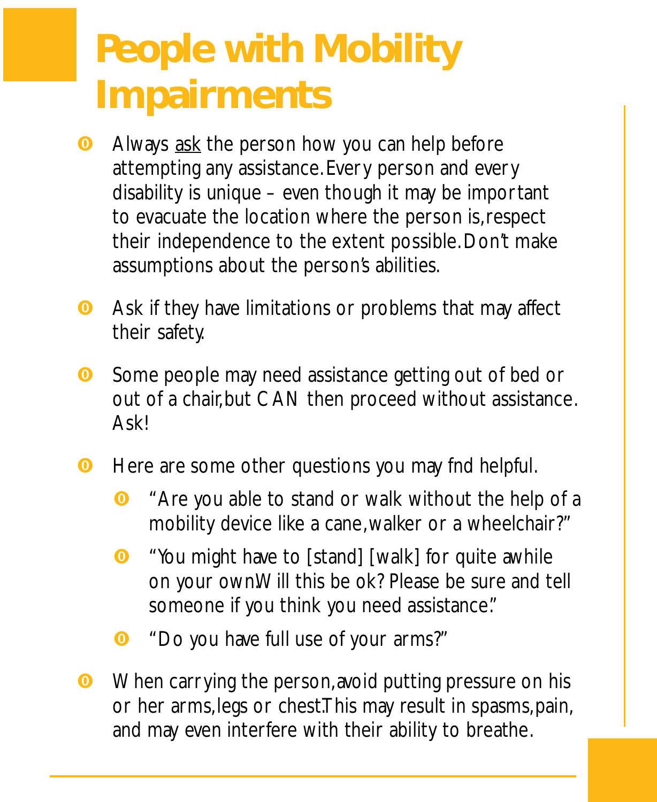### **People with Mobility Impairments**

- **O** Always ask the person how you can help before attempting any assistance. Every person and every disability is unique – even though it may be important to evacuate the location where the person is, respect their independence to the extent possible. Don't make assumptions about the person's abilities.
- **O** Ask if they have limitations or problems that may affect their safety.
- **O** Some people may need assistance getting out of bed or out of a chair, but CAN then proceed without assistance. **Askl**
- **O** Here are some other questions you may fnd helpful.
	- **O** "Are you able to stand or walk without the help of a mobility device like a cane, walker or a wheelchair?"
	- **O** "You might have to [stand] [walk] for quite awhile on your own.Will this be ok? Please be sure and tell someone if you think you need assistance."
	- **O** "Do you have full use of your arms?"
- **O** When carrying the person, avoid putting pressure on his or her arms, legs or chest.This may result in spasms, pain, and may even interfere with their ability to breathe.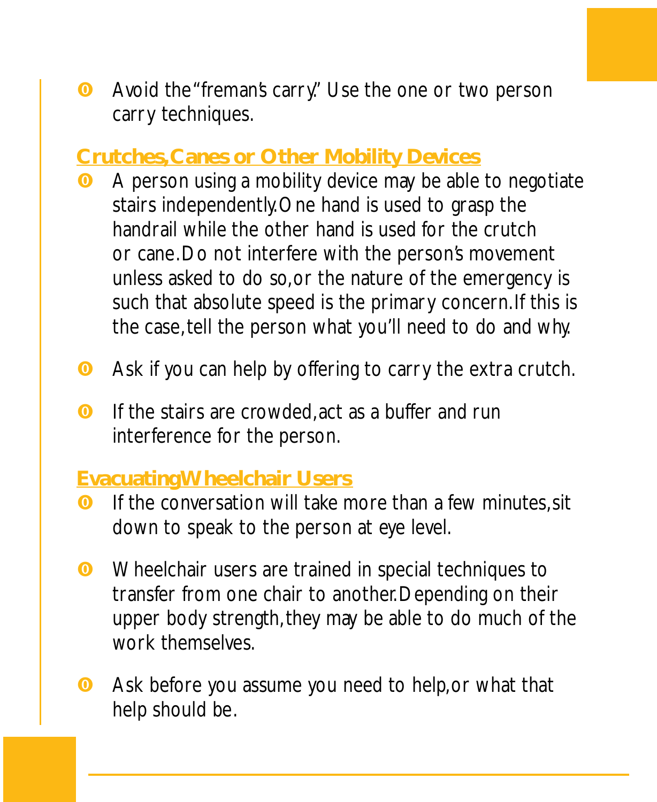**•** Avoid the "freman's carry." Use the one or two person carry techniques.

#### **Crutches, Canes or Other Mobility Devices**

- **O** A person using a mobility device may be able to negotiate stairs independently. One hand is used to grasp the handrail while the other hand is used for the crutch or cane. Do not interfere with the person's movement unless asked to do so, or the nature of the emergency is such that absolute speed is the primary concern. If this is the case, tell the person what you'll need to do and why.
- **O** Ask if you can help by offering to carry the extra crutch.
- **O** If the stairs are crowded, act as a buffer and run interference for the person.

#### **Evacuating Wheelchair Users**

- **O** If the conversation will take more than a few minutes, sit down to speak to the person at eye level.
- **O** Wheelchair users are trained in special techniques to transfer from one chair to another. Depending on their upper body strength, they may be able to do much of the work themselves.
- **O** Ask before you assume you need to help, or what that help should be.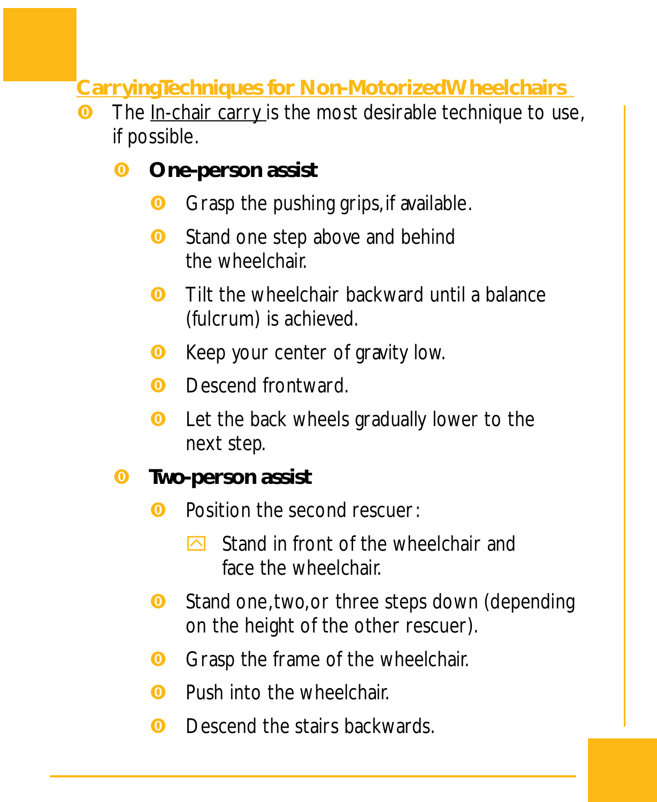**Car ryingTechniques for Non-Motorized Wheelchairs**

- **O** The In-chair carry is the most desirable technique to use,
	- if possible.<br>❶ One-per **One-person assist**
		- **O** Grasp the pushing grips, if available.
		- **O** Stand one step above and behind the wheelchair.
		- **O** Tilt the wheelchair backward until a balance (fulcrum) is achieved.
		- **O** Keep your center of gravity low.
		- **O** Descend frontward.
		- **O** Let the back wheels gradually lower to the next step.
	- **<sup>o</sup>** Two-person assist
		- **O** Position the second rescuer:
			- $\triangleright$  Stand in front of the wheelchair and face the wheelchair.
		- **O** Stand one, two, or three steps down (depending on the height of the other rescuer).
		- **O** Grasp the frame of the wheelchair.
		- **O** Push into the wheelchair.
		- **O** Descend the stairs backwards.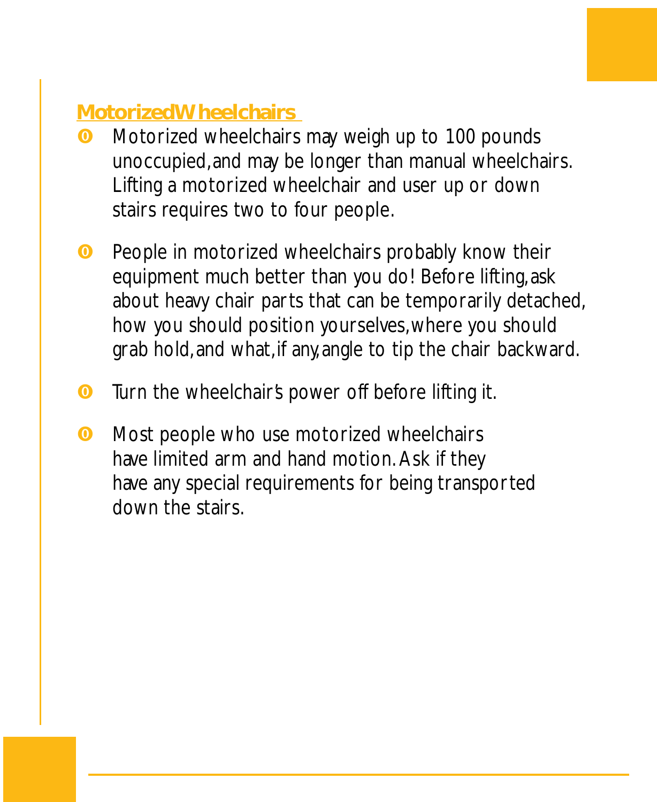### **Motoriz ed Wheelchairs**

- **O** Motorized wheelchairs may weigh up to 100 pounds unoccupied, and may be longer than manual wheelchairs. Lifting a motorized wheelchair and user up or down stairs requires two to four people.
- **O** People in motorized wheelchairs probably know their equipment much better than you do! Before lifting, ask about heavy chair parts that can be temporarily detached, how you should position yourselves, where you should grab hold, and what, if any, angle to tip the chair backward.
- **O** Turn the wheelchair's power off before lifting it.
- **O** Most people who use motorized wheelchairs have limited arm and hand motion. Ask if they have any special requirements for being transported down the stairs.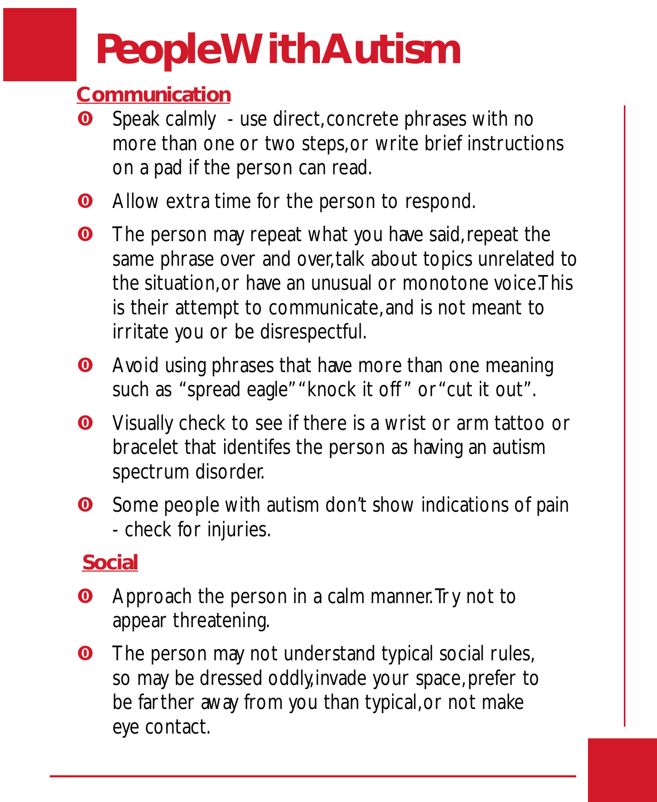# **People With Autism**

### **Comm unication**

- **O** Speak calmly use direct, concrete phrases with no more than one or two steps, or write brief instructions on a pad if the person can read.
- **O** Allow extra time for the person to respond.
- **O** The person may repeat what you have said, repeat the same phrase over and over, talk about topics unrelated to the situation, or have an unusual or monotone voice.This is their attempt to communicate, and is not meant to irritate you or be disrespectful.
- **O** Avoid using phrases that have more than one meaning such as "spread eagle" "knock it off " or "cut it out".
- **O** Visually check to see if there is a wrist or arm tattoo or bracelet that identifes the person as having an autism spectrum disorder.
- **O** Some people with autism don't show indications of pain - check for injuries.

### **Social**

- **O** Approach the person in a calm manner. Try not to appear threatening.
- **O** The person may not understand typical social rules, so may be dressed oddly, invade your space, prefer to be farther away from you than typical, or not make eye contact.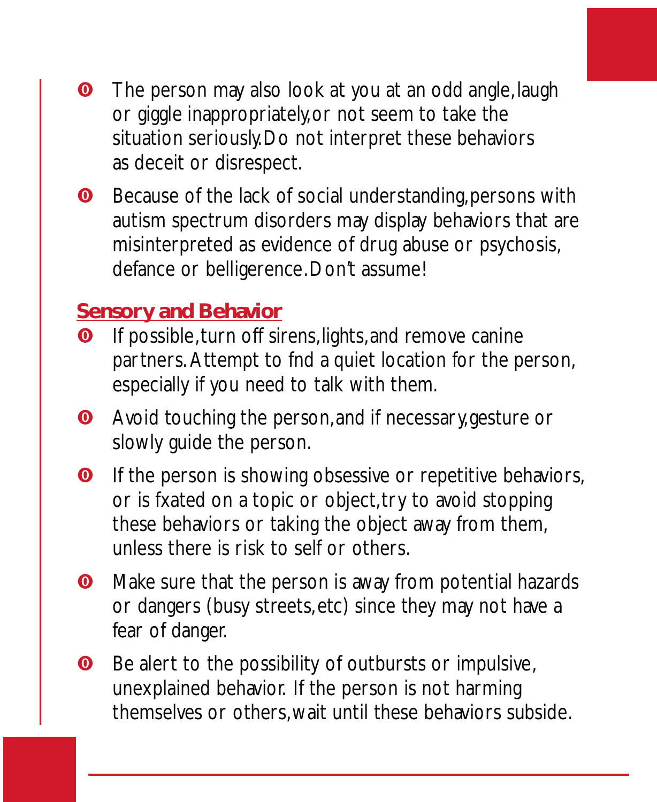- **•** The person may also look at you at an odd angle, laugh or giggle inappropriately, or not seem to take the situation seriously. Do not interpret these behaviors as deceit or disrespect.
- **O** Because of the lack of social understanding, persons with autism spectrum disorders may display behaviors that are misinterpreted as evidence of drug abuse or psychosis, defance or belligerence. Don't assume!

#### **Sensor y and Behavior**

- **O** If possible, turn off sirens, lights, and remove canine partners. Attempt to fnd a quiet location for the person, especially if you need to talk with them.
- **O** Avoid touching the person, and if necessary, gesture or slowly guide the person.
- **O** If the person is showing obsessive or repetitive behaviors, or is fxated on a topic or object, try to avoid stopping these behaviors or taking the object away from them, unless there is risk to self or others.
- **O** Make sure that the person is away from potential hazards or dangers (busy streets, etc) since they may not have a fear of danger.
- **O** Be alert to the possibility of outbursts or impulsive, unexplained behavior. If the person is not harming themselves or others, wait until these behaviors subside.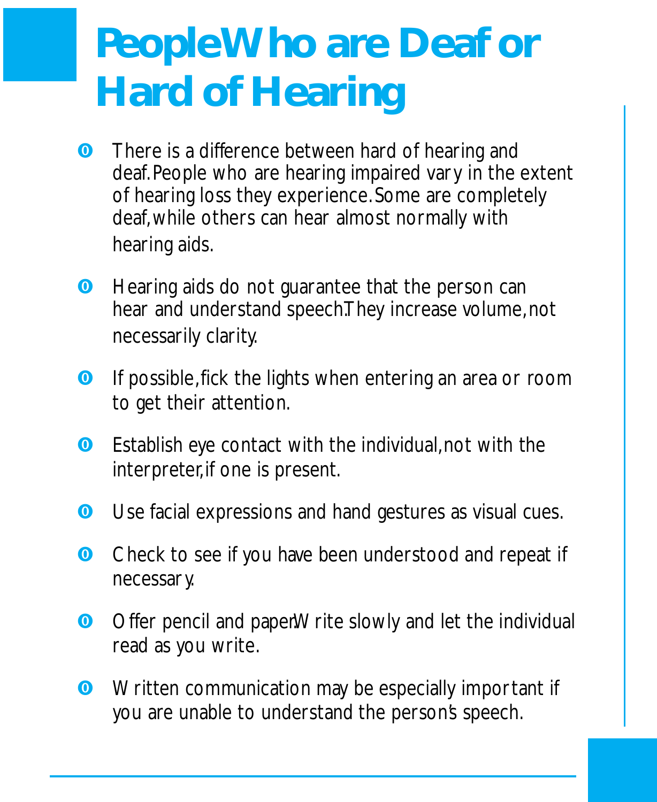# **People Who are Deaf or Hard of Hearing**

- **O** There is a difference between hard of hearing and deaf. People who are hearing impaired vary in the extent of hearing loss they experience. Some are completely deaf, while others can hear almost normally with hearing aids.
- **O** Hearing aids do not guarantee that the person can hear and understand speech.They increase volume, not necessarily clarity.
- **O** If possible, fick the lights when entering an area or room to get their attention.
- **O** Establish eye contact with the individual, not with the interpreter, if one is present.
- **O** Use facial expressions and hand gestures as visual cues.
- **O** Check to see if you have been understood and repeat if necessary.
- **O** Offer pencil and paper.Write slowly and let the individual read as you write.
- **O** Written communication may be especially important if you are unable to understand the person's speech.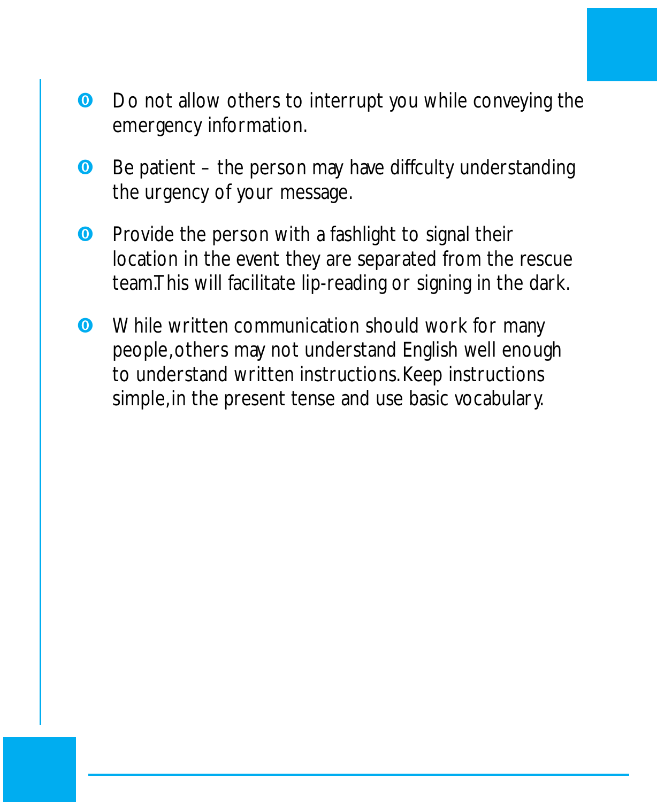- **•** Do not allow others to interrupt you while conveying the emergency information.
- **O** Be patient the person may have diffculty understanding the urgency of your message.
- **O** Provide the person with a fashlight to signal their location in the event they are separated from the rescue team.This will facilitate lip-reading or signing in the dark.
- **O** While written communication should work for many people, others may not understand English well enough to understand written instructions. Keep instructions simple, in the present tense and use basic vocabulary.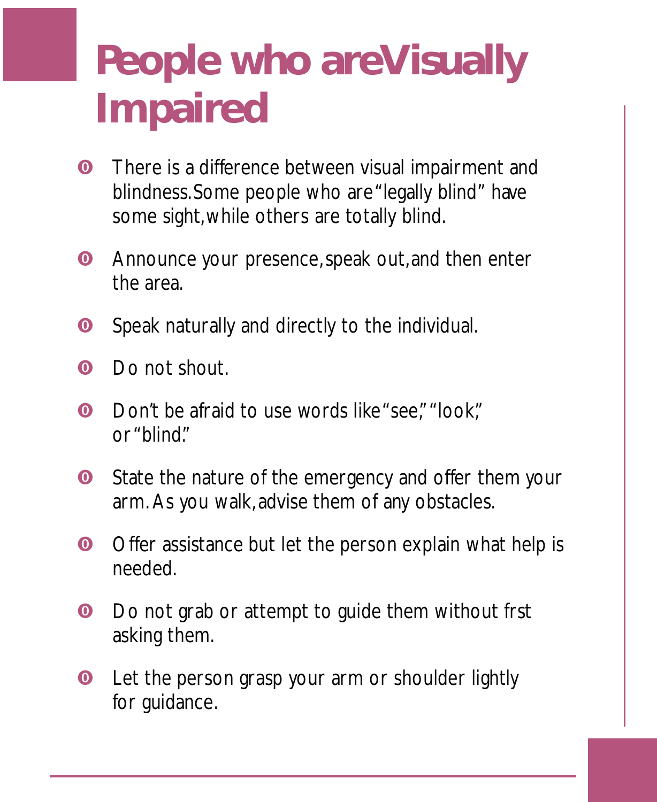# **People who areVisually Impaired**

- **O** There is a difference between visual impairment and blindness. Some people who are "legally blind" have some sight, while others are totally blind.
- **O** Announce your presence, speak out, and then enter the area.
- **O** Speak naturally and directly to the individual.
- **O** Do not shout.
- **O** Don't be afraid to use words like "see," "look," or "blind."
- **O** State the nature of the emergency and offer them your arm. As you walk, advise them of any obstacles.
- **O** Offer assistance but let the person explain what help is needed.
- **O** Do not grab or attempt to guide them without frst asking them.
- **O** Let the person grasp your arm or shoulder lightly for guidance.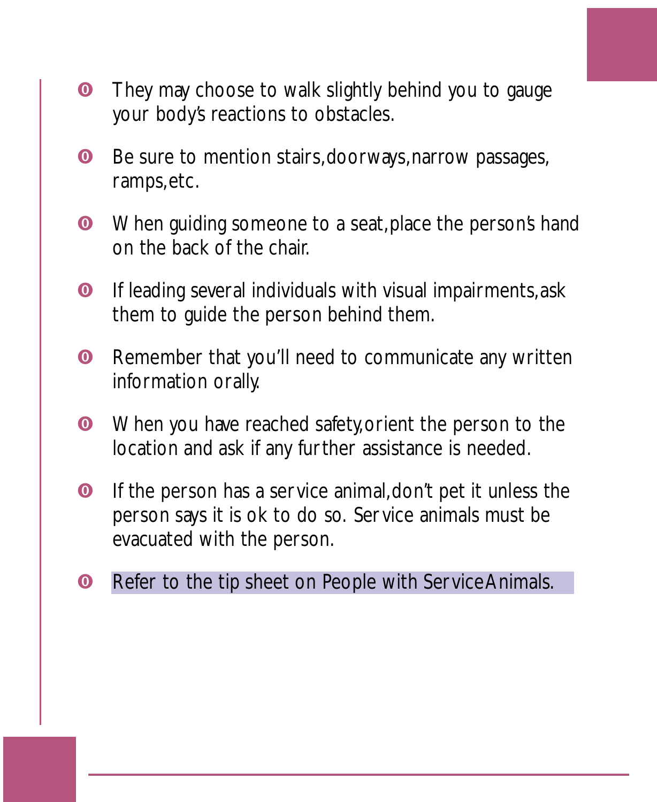- **•** They may choose to walk slightly behind you to gauge your body's reactions to obstacles.
- **O** Be sure to mention stairs, doorways, narrow passages, ramps, etc.
- **O** When guiding someone to a seat, place the person's hand on the back of the chair.
- **O** If leading several individuals with visual impairments, ask them to guide the person behind them.
- **O** Remember that you'll need to communicate any written information orally.
- **O** When you have reached safety, orient the person to the location and ask if any further assistance is needed.
- **O** If the person has a service animal, don't pet it unless the person says it is ok to do so. Service animals must be evacuated with the person.
- **O** Refer to the tip sheet on People with Service Animals.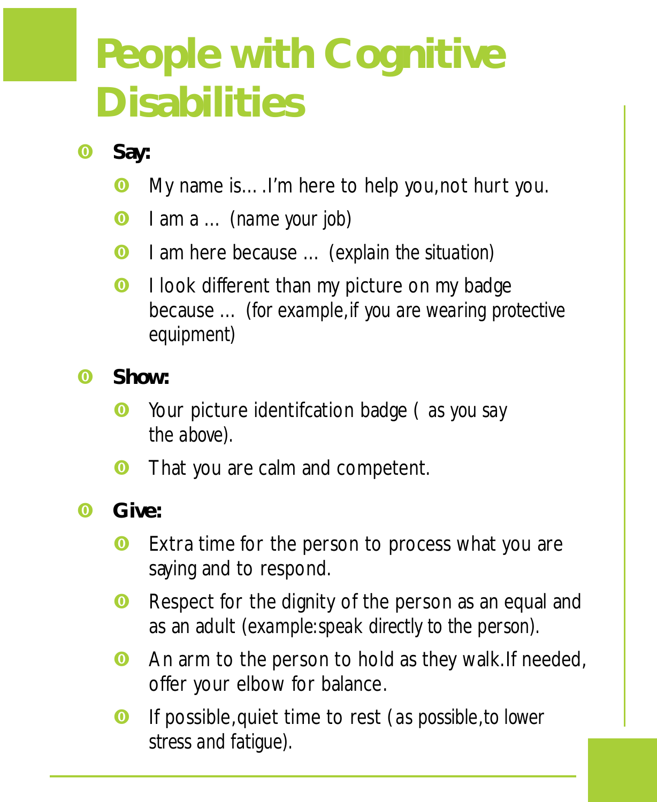# **People with Cognitive Disabilities**

- **0** Say:
	- **O** My name is.... I'm here to help you, not hurt you.
	- ? I am a … (*name your job*)
	- ? I am here because … (*explain the situation)*
	- **O** I look different than my picture on my badge because … (*for example,if you are wearing protective equipment)*
- **0** Show:
	- ? Your picture identifcation badge ( *as you say the above) .*
	- **O** That you are calm and competent.
- **0** Give:
	- **O** Extra time for the person to process what you are saying and to respond.
	- **O** Respect for the dignity of the person as an equal and as an adult *(example: speak directly to the person)*.
	- **O** An arm to the person to hold as they walk. If needed, offer your elbow for balance.
	- ? If possible, quiet time to rest (*as possible,to lower stress and fatigue) .*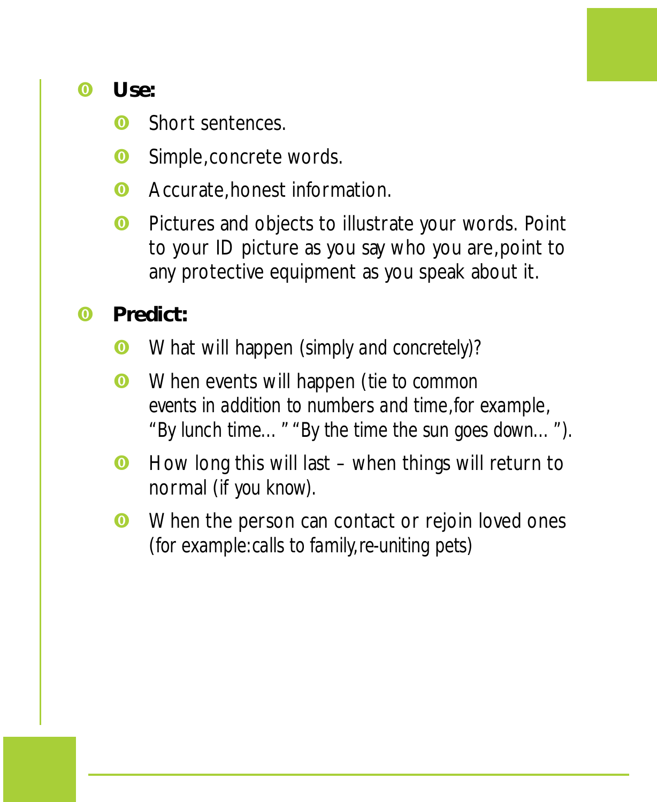?**Use:**

- **O** Short sentences.
- **O** Simple, concrete words.
- **O** Accurate, honest information.
- **O** Pictures and objects to illustrate your words. Point to your ID picture as you say who you are, point to any protective equipment as you speak about it.
- **0** Predict:
	- ? What will happen (*simply and concretely)?*
	- ? When events will happen (*tie to common events in addition to numbers and time,for example, "By lunch time…" "By the time the sun goes down…") .*
	- **O** How long this will last when things will return to normal (*if you know) .*
	- **O** When the person can contact or rejoin loved ones (*for example: calls to family,re-uniting pets)*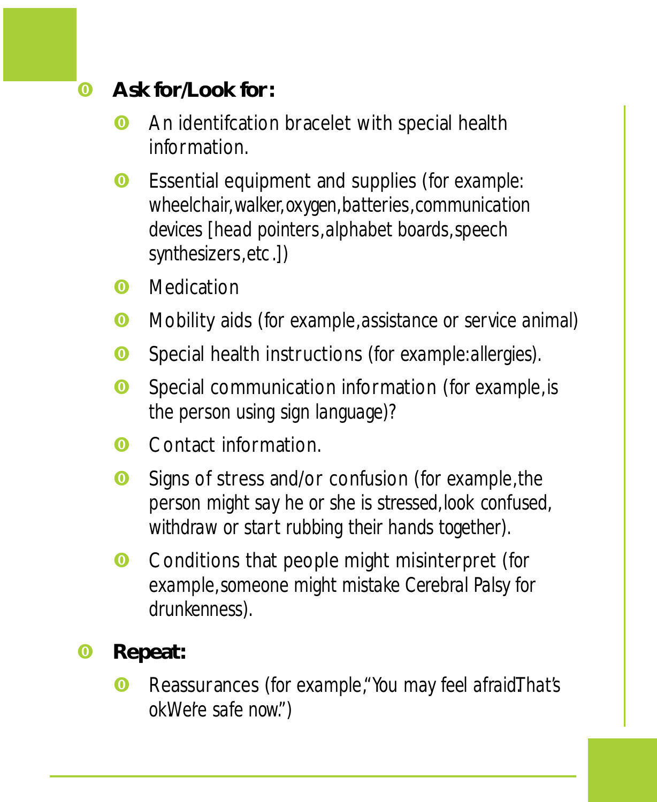- **<sup><b>**</sup> Ask for/Look for:
	- **O** An identifcation bracelet with special health information.
	- **<sup>O</sup>** Essential equipment and supplies (for example: *wheelchair,walker,oxygen ,batteries,communication devices [head pointers,alphabet boards,speech synthesizers,etc.])*
	- **O** Medication
	- ? Mobility aids (*for example,assistance or service animal)*
	- ? Special health instructions (*for example: allergies).*
	- ? Special communication information (*for example,is the person using sign language)?*
	- **O** Contact information.
	- ? Signs of stress and/or confusion (*for example,the person might say he or she is stressed ,look confused , withdraw or start rubbing their hands together).*
	- ? Conditions that people might misinterpret (*for example,someone might mistake Cerebral Palsy for drunkenness).*
- **O** Repeat:
	- **<sup>** $\odot$ **</sup>** Reassurances (for example, "You may feel afraid. That's *okWere safe now."*)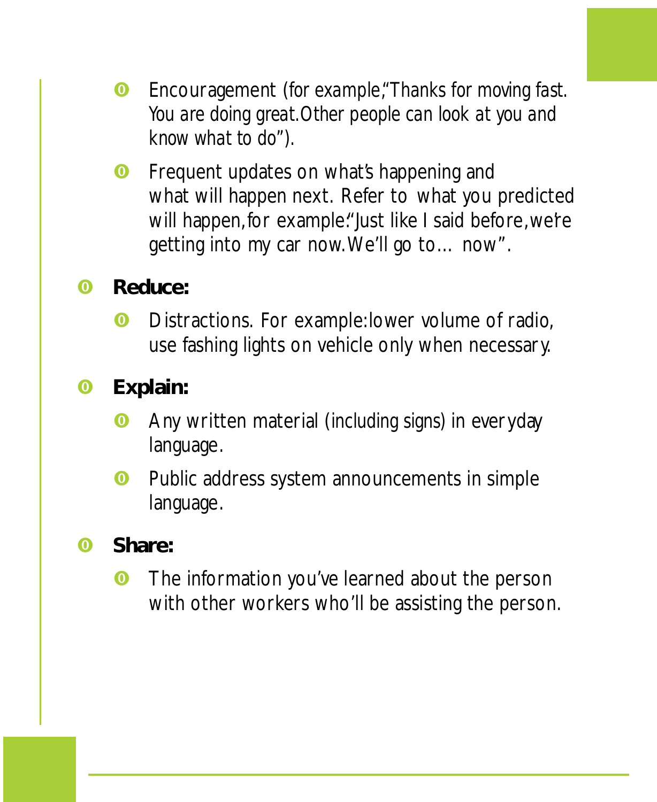- ?Encouragement (*for example,"Thanks for moving fast . You are doing great .Other people can look at you and know what to do").*
- **O** Frequent updates on what's happening and what will happen next. Refer to what you predicted will happen, for example: "Just like I said before, we're getting into my car now. We'll go to… now".
- **O** Reduce:
	- **O** Distractions. For example: lower volume of radio, use fashing lights on vehicle only when necessary.
- **O** Explain:
	- ?Any written material (*including signs)* in everyday language.
	- **O** Public address system announcements in simple language.
- **0** Share:
	- **O** The information you've learned about the person with other workers who'll be assisting the person.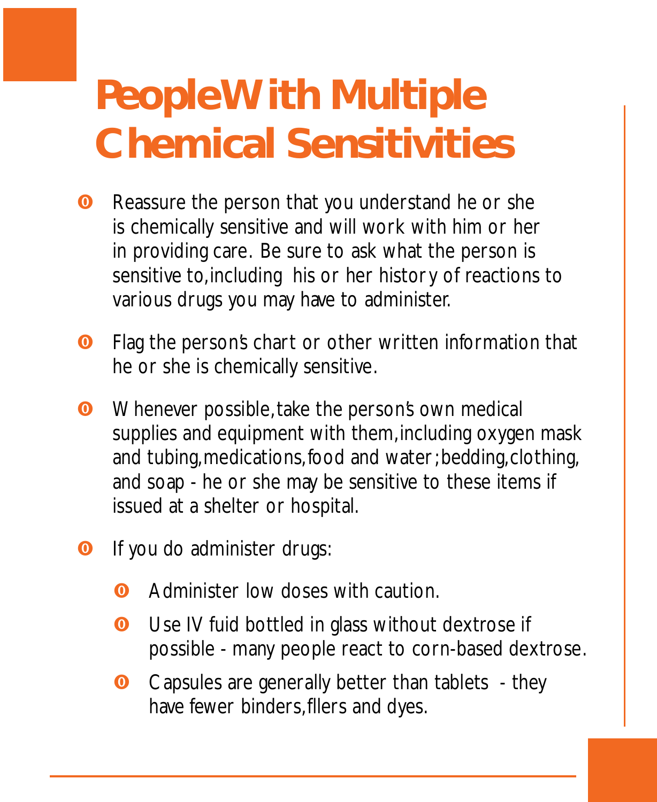## **People With Multiple Chemical Sensitivities**

- **O** Reassure the person that you understand he or she is chemically sensitive and will work with him or her in providing care. Be sure to ask what the person is sensitive to, including his or her history of reactions to various drugs you may have to administer.
- **O** Flag the person's chart or other written information that he or she is chemically sensitive.
- **O** Whenever possible, take the person's own medical supplies and equipment with them, including oxygen mask and tubing, medications, food and water; bedding, clothing, and soap - he or she may be sensitive to these items if issued at a shelter or hospital.
- **O** If you do administer drugs:
	- **O** Administer low doses with caution.
	- **O** Use IV fuid bottled in glass without dextrose if possible - many people react to corn-based dextrose.
	- **O** Capsules are generally better than tablets they have fewer binders, fllers and dyes.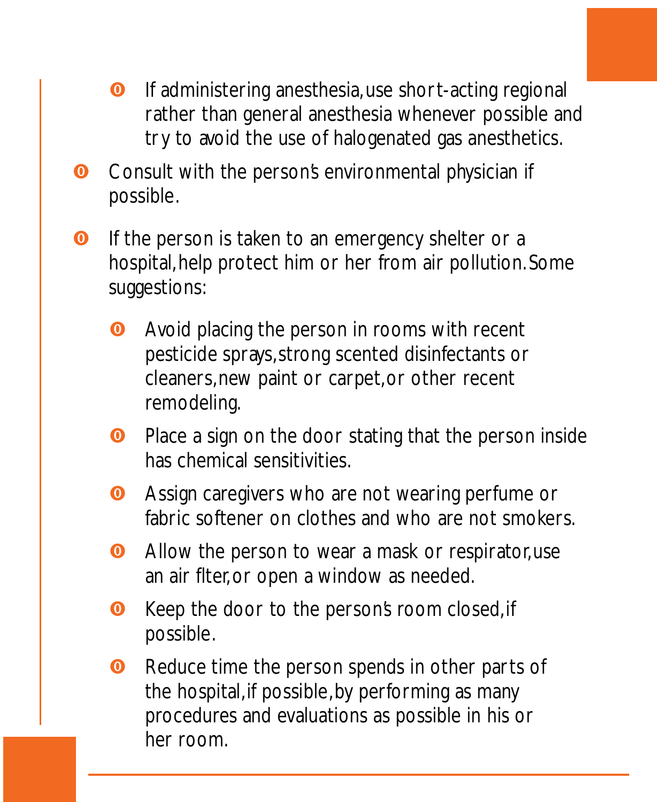- **O** If administering anesthesia, use short-acting regional rather than general anesthesia whenever possible and try to avoid the use of halogenated gas anesthetics.
- **O** Consult with the person's environmental physician if possible.
- **O** If the person is taken to an emergency shelter or a hospital, help protect him or her from air pollution. Some suggestions:
	- **•** Avoid placing the person in rooms with recent pesticide sprays, strong scented disinfectants or cleaners, new paint or carpet, or other recent remodeling.
	- **O** Place a sign on the door stating that the person inside has chemical sensitivities.
	- **O** Assign caregivers who are not wearing perfume or fabric softener on clothes and who are not smokers.
	- **O** Allow the person to wear a mask or respirator, use an air flter, or open a window as needed.
	- **O** Keep the door to the persons room closed, if possible.
	- **O** Reduce time the person spends in other parts of the hospital, if possible, by performing as many procedures and evaluations as possible in his or her room.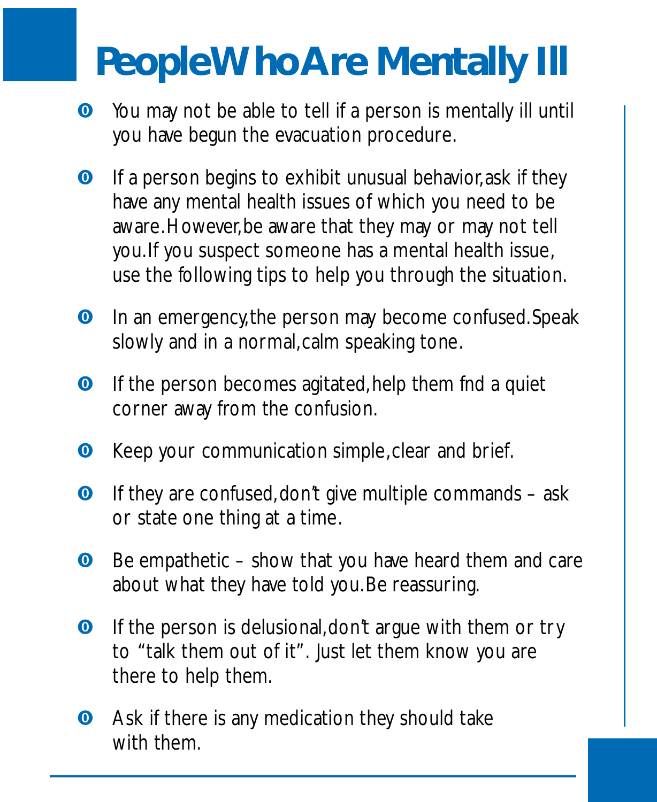### **PeopleWhoAre Mentally Ill**

- **O** You may not be able to tell if a person is mentally ill until you have begun the evacuation procedure.
- **O** If a person begins to exhibit unusual behavior, ask if they have any mental health issues of which you need to be aware. However, be aware that they may or may not tell you. If you suspect someone has a mental health issue, use the following tips to help you through the situation.
- **O** In an emergency, the person may become confused. Speak slowly and in a normal, calm speaking tone.
- **O** If the person becomes agitated, help them fnd a quiet corner away from the confusion.
- **O** Keep your communication simple, clear and brief.
- **O** If they are confused, don't give multiple commands ask or state one thing at a time.
- **O** Be empathetic show that you have heard them and care about what they have told you. Be reassuring.
- **O** If the person is delusional, don't argue with them or try to "talk them out of it". Just let them know you are there to help them.
- **O** Ask if there is any medication they should take with them.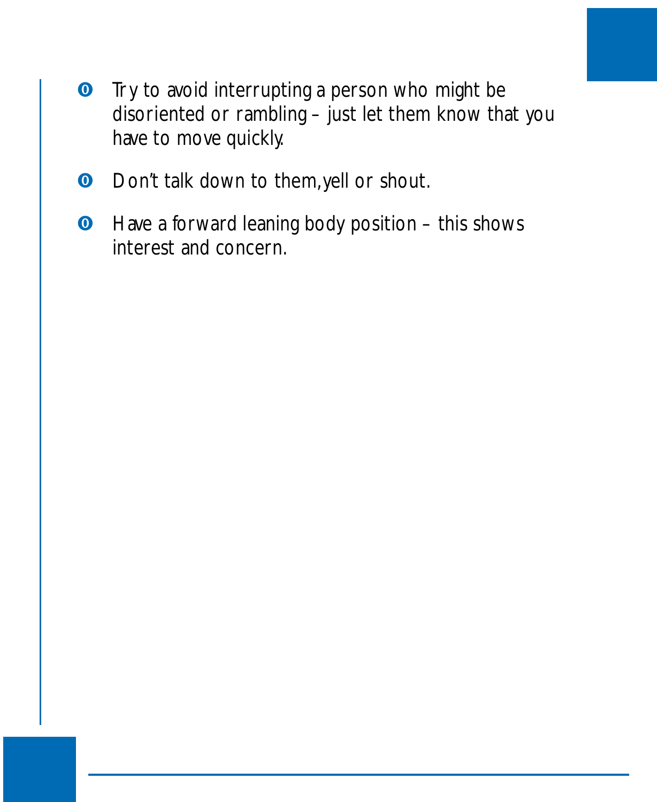- **•** Try to avoid interrupting a person who might be disoriented or rambling – just let them know that you have to move quickly.
- **O** Don't talk down to them, yell or shout.
- **O** Have a forward leaning body position this shows interest and concern.